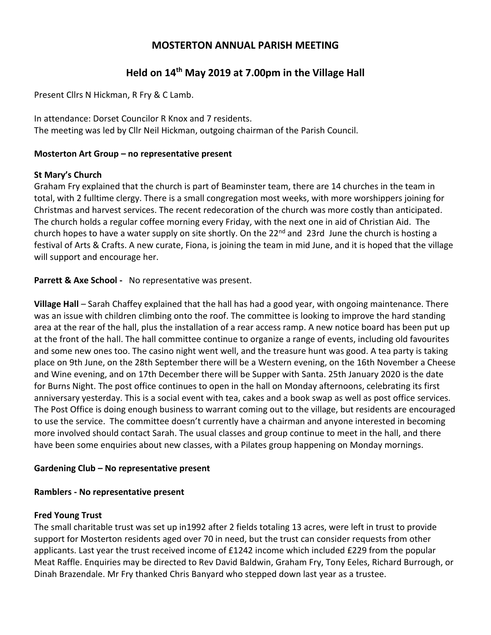# **MOSTERTON ANNUAL PARISH MEETING**

# **Held on 14th May 2019 at 7.00pm in the Village Hall**

Present Cllrs N Hickman, R Fry & C Lamb.

In attendance: Dorset Councilor R Knox and 7 residents. The meeting was led by Cllr Neil Hickman, outgoing chairman of the Parish Council.

#### **Mosterton Art Group – no representative present**

### **St Mary's Church**

Graham Fry explained that the church is part of Beaminster team, there are 14 churches in the team in total, with 2 fulltime clergy. There is a small congregation most weeks, with more worshippers joining for Christmas and harvest services. The recent redecoration of the church was more costly than anticipated. The church holds a regular coffee morning every Friday, with the next one in aid of Christian Aid. The church hopes to have a water supply on site shortly. On the 22<sup>nd</sup> and 23rd June the church is hosting a festival of Arts & Crafts. A new curate, Fiona, is joining the team in mid June, and it is hoped that the village will support and encourage her.

**Parrett & Axe School -** No representative was present.

**Village Hall** – Sarah Chaffey explained that the hall has had a good year, with ongoing maintenance. There was an issue with children climbing onto the roof. The committee is looking to improve the hard standing area at the rear of the hall, plus the installation of a rear access ramp. A new notice board has been put up at the front of the hall. The hall committee continue to organize a range of events, including old favourites and some new ones too. The casino night went well, and the treasure hunt was good. A tea party is taking place on 9th June, on the 28th September there will be a Western evening, on the 16th November a Cheese and Wine evening, and on 17th December there will be Supper with Santa. 25th January 2020 is the date for Burns Night. The post office continues to open in the hall on Monday afternoons, celebrating its first anniversary yesterday. This is a social event with tea, cakes and a book swap as well as post office services. The Post Office is doing enough business to warrant coming out to the village, but residents are encouraged to use the service. The committee doesn't currently have a chairman and anyone interested in becoming more involved should contact Sarah. The usual classes and group continue to meet in the hall, and there have been some enquiries about new classes, with a Pilates group happening on Monday mornings.

#### **Gardening Club – No representative present**

#### **Ramblers - No representative present**

#### **Fred Young Trust**

The small charitable trust was set up in1992 after 2 fields totaling 13 acres, were left in trust to provide support for Mosterton residents aged over 70 in need, but the trust can consider requests from other applicants. Last year the trust received income of £1242 income which included £229 from the popular Meat Raffle. Enquiries may be directed to Rev David Baldwin, Graham Fry, Tony Eeles, Richard Burrough, or Dinah Brazendale. Mr Fry thanked Chris Banyard who stepped down last year as a trustee.